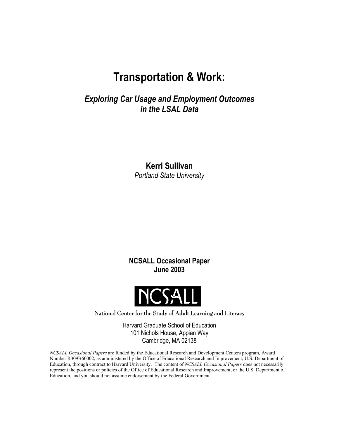# **Transportation & Work:**

*Exploring Car Usage and Employment Outcomes in the LSAL Data* 

> **Kerri Sullivan**  *Portland State University*

**NCSALL Occasional Paper June 2003** 



National Center for the Study of Adult Learning and Literacy

Harvard Graduate School of Education 101 Nichols House, Appian Way Cambridge, MA 02138

*NCSALL Occasional Papers* are funded by the Educational Research and Development Centers program, Award Number R309B60002, as administered by the Office of Educational Research and Improvement, U.S. Department of Education, through contract to Harvard University. The content of *NCSALL Occasional Papers* does not necessarily represent the positions or policies of the Office of Educational Research and Improvement, or the U.S. Department of Education, and you should not assume endorsement by the Federal Government.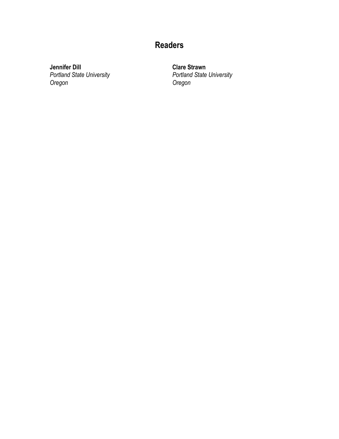# **Readers**

**Jennifer Dill**  *Portland State University Oregon*

**Clare Strawn**  *Portland State University Oregon*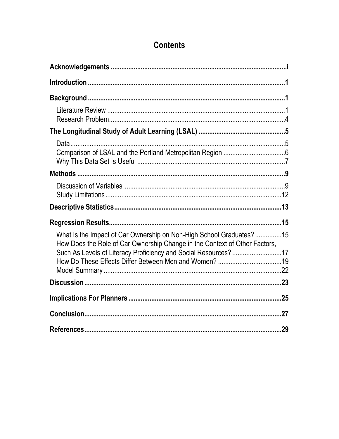# **Contents**

| What Is the Impact of Car Ownership on Non-High School Graduates?15<br>How Does the Role of Car Ownership Change in the Context of Other Factors, |  |
|---------------------------------------------------------------------------------------------------------------------------------------------------|--|
| Such As Levels of Literacy Proficiency and Social Resources? 17                                                                                   |  |
|                                                                                                                                                   |  |
|                                                                                                                                                   |  |
|                                                                                                                                                   |  |
|                                                                                                                                                   |  |
|                                                                                                                                                   |  |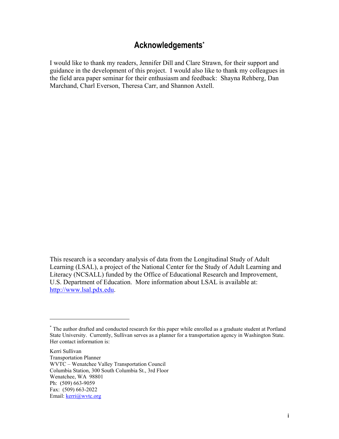## **Acknowledgement[s\\*](#page-4-1)**

<span id="page-4-0"></span>I would like to thank my readers, Jennifer Dill and Clare Strawn, for their support and guidance in the development of this project. I would also like to thank my colleagues in the field area paper seminar for their enthusiasm and feedback: Shayna Rehberg, Dan Marchand, Charl Everson, Theresa Carr, and Shannon Axtell.

This research is a secondary analysis of data from the Longitudinal Study of Adult Learning (LSAL), a project of the National Center for the Study of Adult Learning and Literacy (NCSALL) funded by the Office of Educational Research and Improvement, U.S. Department of Education. More information about LSAL is available at: [http://www.lsal.pdx.edu.](http://www.lsal.pdx.edu/)

Kerri Sullivan Transportation Planner WVTC – Wenatchee Valley Transportation Council Columbia Station, 300 South Columbia St., 3rd Floor Wenatchee, WA 98801 Ph: (509) 663-9059 Fax: (509) 663-2022 Email: kerri@wvtc.org

 $\overline{a}$ 

<span id="page-4-1"></span><sup>\*</sup> The author drafted and conducted research for this paper while enrolled as a graduate student at Portland State University. Currently, Sullivan serves as a planner for a transportation agency in Washington State. Her contact information is: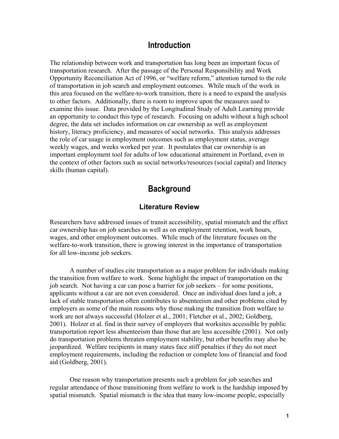### **Introduction**

<span id="page-6-0"></span>The relationship between work and transportation has long been an important focus of transportation research. After the passage of the Personal Responsibility and Work Opportunity Reconciliation Act of 1996, or "welfare reform," attention turned to the role of transportation in job search and employment outcomes. While much of the work in this area focused on the welfare-to-work transition, there is a need to expand the analysis to other factors. Additionally, there is room to improve upon the measures used to examine this issue. Data provided by the Longitudinal Study of Adult Learning provide an opportunity to conduct this type of research. Focusing on adults without a high school degree, the data set includes information on car ownership as well as employment history, literacy proficiency, and measures of social networks. This analysis addresses the role of car usage in employment outcomes such as employment status, average weekly wages, and weeks worked per year. It postulates that car ownership is an important employment tool for adults of low educational attainment in Portland, even in the context of other factors such as social networks/resources (social capital) and literacy skills (human capital).

## **Background**

#### **Literature Review**

Researchers have addressed issues of transit accessibility, spatial mismatch and the effect car ownership has on job searches as well as on employment retention, work hours, wages, and other employment outcomes. While much of the literature focuses on the welfare-to-work transition, there is growing interest in the importance of transportation for all low-income job seekers.

A number of studies cite transportation as a major problem for individuals making the transition from welfare to work. Some highlight the impact of transportation on the job search. Not having a car can pose a barrier for job seekers – for some positions, applicants without a car are not even considered. Once an individual does land a job, a lack of stable transportation often contributes to absenteeism and other problems cited by employers as some of the main reasons why those making the transition from welfare to work are not always successful (Holzer et al., 2001; Fletcher et al., 2002; Goldberg, 2001). Holzer et al. find in their survey of employers that worksites accessible by public transportation report less absenteeism than those that are less accessible (2001). Not only do transportation problems threaten employment stability, but other benefits may also be jeopardized. Welfare recipients in many states face stiff penalties if they do not meet employment requirements, including the reduction or complete loss of financial and food aid (Goldberg, 2001).

One reason why transportation presents such a problem for job searches and regular attendance of those transitioning from welfare to work is the hardship imposed by spatial mismatch. Spatial mismatch is the idea that many low-income people, especially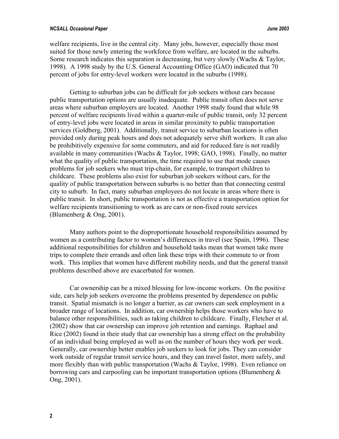welfare recipients, live in the central city. Many jobs, however, especially those most suited for those newly entering the workforce from welfare, are located in the suburbs. Some research indicates this separation is decreasing, but very slowly (Wachs & Taylor, 1998). A 1998 study by the U.S. General Accounting Office (GAO) indicated that 70 percent of jobs for entry-level workers were located in the suburbs (1998).

Getting to suburban jobs can be difficult for job seekers without cars because public transportation options are usually inadequate. Public transit often does not serve areas where suburban employers are located. Another 1998 study found that while 98 percent of welfare recipients lived within a quarter-mile of public transit, only 32 percent of entry-level jobs were located in areas in similar proximity to public transportation services (Goldberg, 2001). Additionally, transit service to suburban locations is often provided only during peak hours and does not adequately serve shift workers. It can also be prohibitively expensive for some commuters, and aid for reduced fare is not readily available in many communities (Wachs & Taylor, 1998; GAO, 1998). Finally, no matter what the quality of public transportation, the time required to use that mode causes problems for job seekers who must trip-chain, for example, to transport children to childcare. These problems also exist for suburban job seekers without cars, for the quality of public transportation between suburbs is no better than that connecting central city to suburb. In fact, many suburban employees do not locate in areas where there is public transit. In short, public transportation is not as effective a transportation option for welfare recipients transitioning to work as are cars or non-fixed route services (Blumenberg & Ong, 2001).

Many authors point to the disproportionate household responsibilities assumed by women as a contributing factor to women's differences in travel (see Spain, 1996). These additional responsibilities for children and household tasks mean that women take more trips to complete their errands and often link these trips with their commute to or from work. This implies that women have different mobility needs, and that the general transit problems described above are exacerbated for women.

Car ownership can be a mixed blessing for low-income workers. On the positive side, cars help job seekers overcome the problems presented by dependence on public transit. Spatial mismatch is no longer a barrier, as car owners can seek employment in a broader range of locations. In addition, car ownership helps those workers who have to balance other responsibilities, such as taking children to childcare. Finally, Fletcher et al. (2002) show that car ownership can improve job retention and earnings. Raphael and Rice (2002) found in their study that car ownership has a strong effect on the probability of an individual being employed as well as on the number of hours they work per week. Generally, car ownership better enables job seekers to look for jobs. They can consider work outside of regular transit service hours, and they can travel faster, more safely, and more flexibly than with public transportation (Wachs & Taylor, 1998). Even reliance on borrowing cars and carpooling can be important transportation options (Blumenberg  $\&$ Ong, 2001).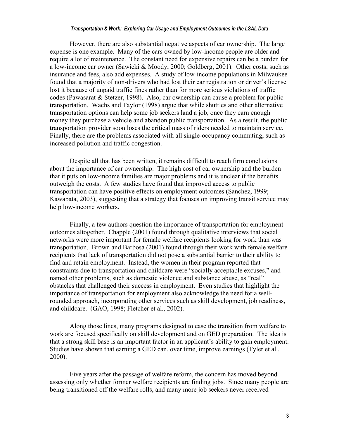#### *Transportation & Work: Exploring Car Usage and Employment Outcomes in the LSAL Data*

However, there are also substantial negative aspects of car ownership. The large expense is one example. Many of the cars owned by low-income people are older and require a lot of maintenance. The constant need for expensive repairs can be a burden for a low-income car owner (Sawicki & Moody, 2000; Goldberg, 2001). Other costs, such as insurance and fees, also add expenses. A study of low-income populations in Milwaukee found that a majority of non-drivers who had lost their car registration or driver's license lost it because of unpaid traffic fines rather than for more serious violations of traffic codes (Pawasarat & Stetzer, 1998). Also, car ownership can cause a problem for public transportation. Wachs and Taylor (1998) argue that while shuttles and other alternative transportation options can help some job seekers land a job, once they earn enough money they purchase a vehicle and abandon public transportation. As a result, the public transportation provider soon loses the critical mass of riders needed to maintain service. Finally, there are the problems associated with all single-occupancy commuting, such as increased pollution and traffic congestion.

Despite all that has been written, it remains difficult to reach firm conclusions about the importance of car ownership. The high cost of car ownership and the burden that it puts on low-income families are major problems and it is unclear if the benefits outweigh the costs. A few studies have found that improved access to public transportation can have positive effects on employment outcomes (Sanchez, 1999; Kawabata, 2003), suggesting that a strategy that focuses on improving transit service may help low-income workers.

Finally, a few authors question the importance of transportation for employment outcomes altogether. Chapple (2001) found through qualitative interviews that social networks were more important for female welfare recipients looking for work than was transportation. Brown and Barbosa (2001) found through their work with female welfare recipients that lack of transportation did not pose a substantial barrier to their ability to find and retain employment. Instead, the women in their program reported that constraints due to transportation and childcare were "socially acceptable excuses," and named other problems, such as domestic violence and substance abuse, as "real" obstacles that challenged their success in employment. Even studies that highlight the importance of transportation for employment also acknowledge the need for a wellrounded approach, incorporating other services such as skill development, job readiness, and childcare. (GAO, 1998; Fletcher et al., 2002).

Along those lines, many programs designed to ease the transition from welfare to work are focused specifically on skill development and on GED preparation. The idea is that a strong skill base is an important factor in an applicant's ability to gain employment. Studies have shown that earning a GED can, over time, improve earnings (Tyler et al., 2000).

Five years after the passage of welfare reform, the concern has moved beyond assessing only whether former welfare recipients are finding jobs. Since many people are being transitioned off the welfare rolls, and many more job seekers never received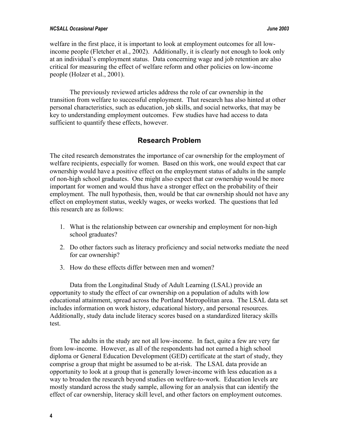<span id="page-9-0"></span>welfare in the first place, it is important to look at employment outcomes for all lowincome people (Fletcher et al., 2002). Additionally, it is clearly not enough to look only at an individual's employment status. Data concerning wage and job retention are also critical for measuring the effect of welfare reform and other policies on low-income people (Holzer et al., 2001).

The previously reviewed articles address the role of car ownership in the transition from welfare to successful employment. That research has also hinted at other personal characteristics, such as education, job skills, and social networks, that may be key to understanding employment outcomes. Few studies have had access to data sufficient to quantify these effects, however.

### **Research Problem**

The cited research demonstrates the importance of car ownership for the employment of welfare recipients, especially for women. Based on this work, one would expect that car ownership would have a positive effect on the employment status of adults in the sample of non-high school graduates. One might also expect that car ownership would be more important for women and would thus have a stronger effect on the probability of their employment. The null hypothesis, then, would be that car ownership should not have any effect on employment status, weekly wages, or weeks worked. The questions that led this research are as follows:

- 1. What is the relationship between car ownership and employment for non-high school graduates?
- 2. Do other factors such as literacy proficiency and social networks mediate the need for car ownership?
- 3. How do these effects differ between men and women?

Data from the Longitudinal Study of Adult Learning (LSAL) provide an opportunity to study the effect of car ownership on a population of adults with low educational attainment, spread across the Portland Metropolitan area. The LSAL data set includes information on work history, educational history, and personal resources. Additionally, study data include literacy scores based on a standardized literacy skills test.

The adults in the study are not all low-income. In fact, quite a few are very far from low-income. However, as all of the respondents had not earned a high school diploma or General Education Development (GED) certificate at the start of study, they comprise a group that might be assumed to be at-risk. The LSAL data provide an opportunity to look at a group that is generally lower-income with less education as a way to broaden the research beyond studies on welfare-to-work. Education levels are mostly standard across the study sample, allowing for an analysis that can identify the effect of car ownership, literacy skill level, and other factors on employment outcomes.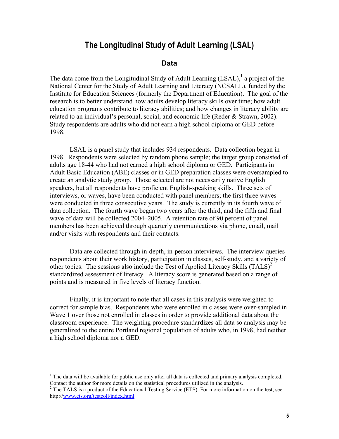# **The Longitudinal Study of Adult Learning (LSAL)**

#### **Data**

<span id="page-10-0"></span>The data come from the Longitudinal Study of Adult Learning  $(LSAL)$ , a project of the National Center for the Study of Adult Learning and Literacy (NCSALL), funded by the Institute for Education Sciences (formerly the Department of Education). The goal of the research is to better understand how adults develop literacy skills over time; how adult education programs contribute to literacy abilities; and how changes in literacy ability are related to an individual's personal, social, and economic life (Reder & Strawn, 2002). Study respondents are adults who did not earn a high school diploma or GED before 1998.

LSAL is a panel study that includes 934 respondents. Data collection began in 1998. Respondents were selected by random phone sample; the target group consisted of adults age 18-44 who had not earned a high school diploma or GED. Participants in Adult Basic Education (ABE) classes or in GED preparation classes were oversampled to create an analytic study group. Those selected are not necessarily native English speakers, but all respondents have proficient English-speaking skills. Three sets of interviews, or waves, have been conducted with panel members; the first three waves were conducted in three consecutive years. The study is currently in its fourth wave of data collection. The fourth wave began two years after the third, and the fifth and final wave of data will be collected 2004–2005. A retention rate of 90 percent of panel members has been achieved through quarterly communications via phone, email, mail and/or visits with respondents and their contacts.

Data are collected through in-depth, in-person interviews. The interview queries respondents about their work history, participation in classes, self-study, and a variety of other topics. The sessions also include the Test of Applied Literacy Skills  $(TALS)^2$  $(TALS)^2$ standardized assessment of literacy. A literacy score is generated based on a range of points and is measured in five levels of literacy function.

Finally, it is important to note that all cases in this analysis were weighted to correct for sample bias. Respondents who were enrolled in classes were over-sampled in Wave 1 over those not enrolled in classes in order to provide additional data about the classroom experience. The weighting procedure standardizes all data so analysis may be generalized to the entire Portland regional population of adults who, in 1998, had neither a high school diploma nor a GED.

 $\overline{a}$ 

<span id="page-10-1"></span> $<sup>1</sup>$  The data will be available for public use only after all data is collected and primary analysis completed.</sup> Contact the [author](#page-4-0) for more details on the statistical procedures utilized in the analysis.<br><sup>2</sup> The TALS is a product of the Educational Testing Service (ETS). For more information on the test, see:

<span id="page-10-2"></span>http://[www.ets.org/testcoll/index.html.](www.ets.org/testcoll/index.html)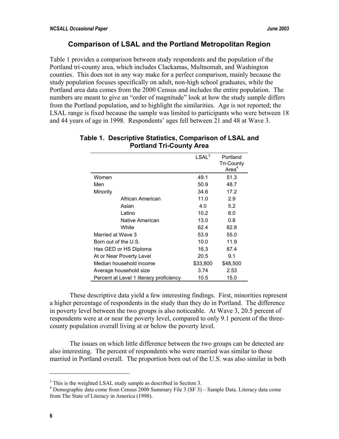### **Comparison of LSAL and the Portland Metropolitan Region**

<span id="page-11-0"></span>Table 1 provides a comparison between study respondents and the population of the Portland tri-county area, which includes Clackamas, Multnomah, and Washington counties. This does not in any way make for a perfect comparison, mainly because the study population focuses specifically on adult, non-high school graduates, while the Portland area data comes from the 2000 Census and includes the entire population. The numbers are meant to give an "order of magnitude" look at how the study sample differs from the Portland population, and to highlight the similarities. Age is not reported; the LSAL range is fixed because the sample was limited to participants who were between 18 and 44 years of age in 1998. Respondents' ages fell between 21 and 48 at Wave 3.

|                                         | LSAL <sup>3</sup> | Portland<br><b>Tri-County</b><br>Area <sup>4</sup> |
|-----------------------------------------|-------------------|----------------------------------------------------|
| Women                                   | 49.1              | 51.3                                               |
| Men                                     | 50.9              | 48.7                                               |
| Minority                                | 34.6              | 17.2                                               |
| African American                        | 11.0              | 2.9                                                |
| Asian                                   | 4.0               | 5.2                                                |
| Latino                                  | 10.2              | 8.0                                                |
| Native American                         | 13.0              | 0.8                                                |
| White                                   | 62.4              | 82.8                                               |
| Married at Wave 3                       | 53.9              | 55.0                                               |
| Born out of the U.S.                    | 10.0              | 11.9                                               |
| Has GED or HS Diploma                   | 16.3              | 87.4                                               |
| At or Near Poverty Level                | 20.5              | 9.1                                                |
| Median household income                 | \$33,800          | \$48,500                                           |
| Average household size                  | 3.74              | 2.53                                               |
| Percent at Level 1 literacy proficiency | 10.5              | 15.0                                               |

#### **Table 1. Descriptive Statistics, Comparison of LSAL and Portland Tri-County Area**

These descriptive data yield a few interesting findings. First, minorities represent a higher percentage of respondents in the study than they do in Portland. The difference in poverty level between the two groups is also noticeable. At Wave 3, 20.5 percent of respondents were at or near the poverty level, compared to only 9.1 percent of the threecounty population overall living at or below the poverty level.

The issues on which little difference between the two groups can be detected are also interesting. The percent of respondents who were married was similar to those married in Portland overall. The proportion born out of the U.S. was also similar in both

 $\overline{a}$ 

<span id="page-11-1"></span><sup>&</sup>lt;sup>3</sup> This is the weighted LSAL study sample as described in Section 3.<br><sup>4</sup> Demographic data como from Consus 2000 Summary File 3 (SF 3).

<span id="page-11-2"></span>Demographic data come from Census 2000 Summary File 3 (SF 3) – Sample Data. Literacy data come from The State of Literacy in America (1998).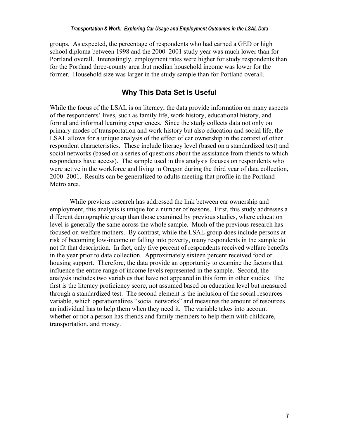<span id="page-12-0"></span>groups. As expected, the percentage of respondents who had earned a GED or high school diploma between 1998 and the 2000–2001 study year was much lower than for Portland overall. Interestingly, employment rates were higher for study respondents than for the Portland three-county area ,but median household income was lower for the former. Household size was larger in the study sample than for Portland overall.

### **Why This Data Set Is Useful**

While the focus of the LSAL is on literacy, the data provide information on many aspects of the respondents' lives, such as family life, work history, educational history, and formal and informal learning experiences. Since the study collects data not only on primary modes of transportation and work history but also education and social life, the LSAL allows for a unique analysis of the effect of car ownership in the context of other respondent characteristics. These include literacy level (based on a standardized test) and social networks (based on a series of questions about the assistance from friends to which respondents have access). The sample used in this analysis focuses on respondents who were active in the workforce and living in Oregon during the third year of data collection, 2000–2001. Results can be generalized to adults meeting that profile in the Portland Metro area.

While previous research has addressed the link between car ownership and employment, this analysis is unique for a number of reasons. First, this study addresses a different demographic group than those examined by previous studies, where education level is generally the same across the whole sample. Much of the previous research has focused on welfare mothers. By contrast, while the LSAL group does include persons atrisk of becoming low-income or falling into poverty, many respondents in the sample do not fit that description. In fact, only five percent of respondents received welfare benefits in the year prior to data collection. Approximately sixteen percent received food or housing support. Therefore, the data provide an opportunity to examine the factors that influence the entire range of income levels represented in the sample. Second, the analysis includes two variables that have not appeared in this form in other studies. The first is the literacy proficiency score, not assumed based on education level but measured through a standardized test. The second element is the inclusion of the social resources variable, which operationalizes "social networks" and measures the amount of resources an individual has to help them when they need it. The variable takes into account whether or not a person has friends and family members to help them with childcare, transportation, and money.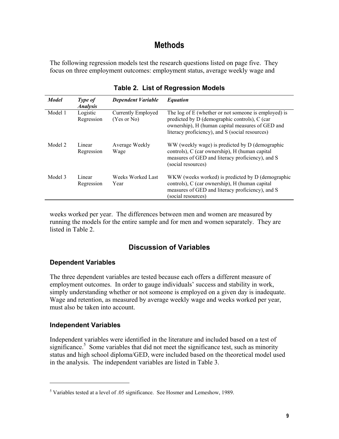# **Methods**

<span id="page-14-0"></span>The following regression models test the research questions listed on page five. They focus on three employment outcomes: employment status, average weekly wage and

| <b>Model</b> | Type of<br><i><b>Analysis</b></i> | <b>Dependent Variable</b>                | <b>Equation</b>                                                                                                                                                                                              |
|--------------|-----------------------------------|------------------------------------------|--------------------------------------------------------------------------------------------------------------------------------------------------------------------------------------------------------------|
| Model 1      | Logistic<br>Regression            | <b>Currently Employed</b><br>(Yes or No) | The log of E (whether or not someone is employed) is<br>predicted by D (demographic controls), C (car<br>ownership), H (human capital measures of GED and<br>literacy proficiency), and S (social resources) |
| Model 2      | Linear<br>Regression              | Average Weekly<br>Wage                   | WW (weekly wage) is predicted by D (demographic<br>controls), C (car ownership), H (human capital<br>measures of GED and literacy proficiency), and S<br>(social resources)                                  |
| Model 3      | Linear<br>Regression              | Weeks Worked Last<br>Year                | WKW (weeks worked) is predicted by D (demographic<br>controls), C (car ownership), H (human capital<br>measures of GED and literacy proficiency), and S<br>(social resources)                                |

**Table 2. List of Regression Models** 

weeks worked per year. The differences between men and women are measured by running the models for the entire sample and for men and women separately. They are listed in Table 2.

### **Discussion of Variables**

### **Dependent Variables**

The three dependent variables are tested because each offers a different measure of employment outcomes. In order to gauge individuals' success and stability in work, simply understanding whether or not someone is employed on a given day is inadequate. Wage and retention, as measured by average weekly wage and weeks worked per year, must also be taken into account.

### **Independent Variables**

 $\overline{a}$ 

Independent variables were identified in the literature and included based on a test of significance.<sup>5</sup> Some variables that did not meet the significance test, such as minority status and high school diploma/GED, were included based on the theoretical model used in the analysis. The independent variables are listed in Table 3.

<span id="page-14-1"></span> $<sup>5</sup>$  Variables tested at a level of .05 significance. See Hosmer and Lemeshow, 1989.</sup>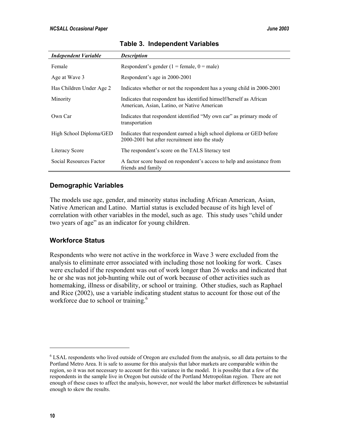| <b>Independent Variable</b> | <b>Description</b>                                                                                                     |
|-----------------------------|------------------------------------------------------------------------------------------------------------------------|
| Female                      | Respondent's gender (1 = female, $0 =$ male)                                                                           |
| Age at Wave 3               | Respondent's age in 2000-2001                                                                                          |
| Has Children Under Age 2    | Indicates whether or not the respondent has a young child in 2000-2001                                                 |
| Minority                    | Indicates that respondent has identified himself/herself as African<br>American, Asian, Latino, or Native American     |
| Own Car                     | Indicates that respondent identified "My own car" as primary mode of<br>transportation                                 |
| High School Diploma/GED     | Indicates that respondent earned a high school diploma or GED before<br>2000-2001 but after recruitment into the study |
| Literacy Score              | The respondent's score on the TALS literacy test                                                                       |
| Social Resources Factor     | A factor score based on respondent's access to help and assistance from<br>friends and family                          |

#### **Table 3. Independent Variables**

#### **Demographic Variables**

The models use age, gender, and minority status including African American, Asian, Native American and Latino. Martial status is excluded because of its high level of correlation with other variables in the model, such as age. This study uses "child under two years of age" as an indicator for young children.

#### **Workforce Status**

Respondents who were not active in the workforce in Wave 3 were excluded from the analysis to eliminate error associated with including those not looking for work. Cases were excluded if the respondent was out of work longer than 26 weeks and indicated that he or she was not job-hunting while out of work because of other activities such as homemaking, illness or disability, or school or training. Other studies, such as Raphael and Rice (2002), use a variable indicating student status to account for those out of the workforce due to school or training.<sup>[6](#page-15-0)</sup>

1

<span id="page-15-0"></span><sup>&</sup>lt;sup>6</sup> LSAL respondents who lived outside of Oregon are excluded from the analysis, so all data pertains to the Portland Metro Area. It is safe to assume for this analysis that labor markets are comparable within the region, so it was not necessary to account for this variance in the model. It is possible that a few of the respondents in the sample live in Oregon but outside of the Portland Metropolitan region. There are not enough of these cases to affect the analysis, however, nor would the labor market differences be substantial enough to skew the results.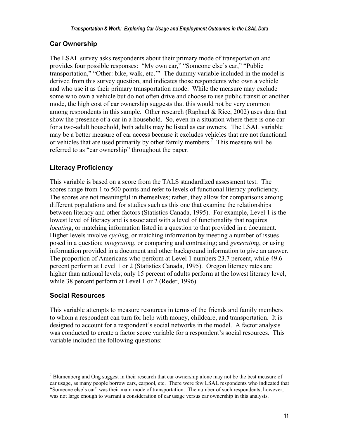### **Car Ownership**

The LSAL survey asks respondents about their primary mode of transportation and provides four possible responses: "My own car," "Someone else's car," "Public transportation," "Other: bike, walk, etc.'" The dummy variable included in the model is derived from this survey question, and indicates those respondents who own a vehicle and who use it as their primary transportation mode. While the measure may exclude some who own a vehicle but do not often drive and choose to use public transit or another mode, the high cost of car ownership suggests that this would not be very common among respondents in this sample. Other research (Raphael & Rice, 2002) uses data that show the presence of a car in a household. So, even in a situation where there is one car for a two-adult household, both adults may be listed as car owners. The LSAL variable may be a better measure of car access because it excludes vehicles that are not functional or vehicles that are used primarily by other family members.<sup>[7](#page-16-0)</sup> This measure will be referred to as "car ownership" throughout the paper.

### **Literacy Proficiency**

This variable is based on a score from the TALS standardized assessment test. The scores range from 1 to 500 points and refer to levels of functional literacy proficiency. The scores are not meaningful in themselves; rather, they allow for comparisons among different populations and for studies such as this one that examine the relationships between literacy and other factors (Statistics Canada, 1995). For example, Level 1 is the lowest level of literacy and is associated with a level of functionality that requires *locating*, or matching information listed in a question to that provided in a document. Higher levels involve *cyclin*g, or matching information by meeting a number of issues posed in a question; *integratin*g, or comparing and contrasting; and *generatin*g, or using information provided in a document and other background information to give an answer. The proportion of Americans who perform at Level 1 numbers 23.7 percent, while 49.6 percent perform at Level 1 or 2 (Statistics Canada, 1995). Oregon literacy rates are higher than national levels; only 15 percent of adults perform at the lowest literacy level, while 38 percent perform at Level 1 or 2 (Reder, 1996).

### **Social Resources**

 $\overline{a}$ 

This variable attempts to measure resources in terms of the friends and family members to whom a respondent can turn for help with money, childcare, and transportation. It is designed to account for a respondent's social networks in the model. A factor analysis was conducted to create a factor score variable for a respondent's social resources. This variable included the following questions:

<span id="page-16-0"></span> $<sup>7</sup>$  Blumenberg and Ong suggest in their research that car ownership alone may not be the best measure of</sup> car usage, as many people borrow cars, carpool, etc. There were few LSAL respondents who indicated that "Someone else's car" was their main mode of transportation. The number of such respondents, however, was not large enough to warrant a consideration of car usage versus car ownership in this analysis.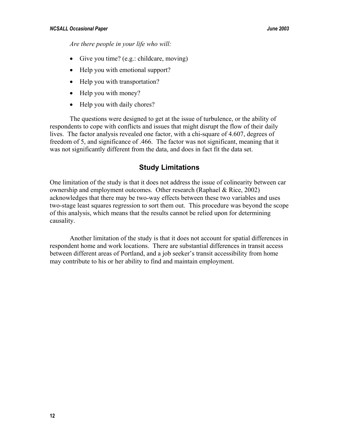<span id="page-17-0"></span>*Are there people in your life who will:* 

- Give you time? (e.g.: childcare, moving)
- Help you with emotional support?
- Help you with transportation?
- Help you with money?
- Help you with daily chores?

The questions were designed to get at the issue of turbulence, or the ability of respondents to cope with conflicts and issues that might disrupt the flow of their daily lives. The factor analysis revealed one factor, with a chi-square of 4.607, degrees of freedom of 5, and significance of .466. The factor was not significant, meaning that it was not significantly different from the data, and does in fact fit the data set.

### **Study Limitations**

One limitation of the study is that it does not address the issue of colinearity between car ownership and employment outcomes. Other research (Raphael & Rice, 2002) acknowledges that there may be two-way effects between these two variables and uses two-stage least squares regression to sort them out. This procedure was beyond the scope of this analysis, which means that the results cannot be relied upon for determining causality.

Another limitation of the study is that it does not account for spatial differences in respondent home and work locations. There are substantial differences in transit access between different areas of Portland, and a job seeker's transit accessibility from home may contribute to his or her ability to find and maintain employment.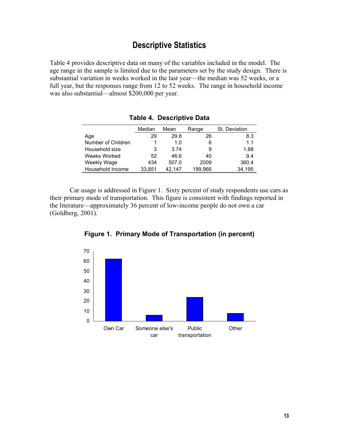# **Descriptive Statistics**

<span id="page-18-0"></span>Table 4 provides descriptive data on many of the variables included in the model. The age range in the sample is limited due to the parameters set by the study design. There is substantial variation in weeks worked in the last year—the median was 52 weeks, or a full year, but the responses range from 12 to 52 weeks. The range in household income was also substantial—almost \$200,000 per year.

|                    | Median | Mean   | Range   | St. Deviation |
|--------------------|--------|--------|---------|---------------|
| Age                | 29     | 29.8   | 26      | 8.3           |
| Number of Children |        | 1.0    | 6       | 1.1           |
| Household size     | 3      | 3.74   | 9       | 1.88          |
| Weeks Worked       | 52     | 46.6   | 40      | 9.4           |
| Weekly Wage        | 434    | 507.0  | 2009    | 360.4         |
| Household Income   | 33.851 | 42.147 | 199,966 | 34,195        |

**Table 4. Descriptive Data** 

Car usage is addressed in Figure 1. Sixty percent of study respondents use cars as their primary mode of transportation. This figure is consistent with findings reported in the literature—approximately 36 percent of low-income people do not own a car (Goldberg, 2001).



**Figure 1. Primary Mode of Transportation (in percent)**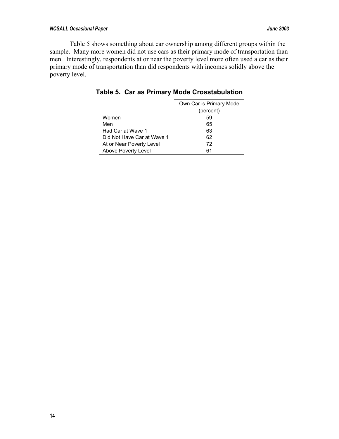#### *NCSALL Occasional Paper June 2003*

Table 5 shows something about car ownership among different groups within the sample. Many more women did not use cars as their primary mode of transportation than men. Interestingly, respondents at or near the poverty level more often used a car as their primary mode of transportation than did respondents with incomes solidly above the poverty level.

|                            | Own Car is Primary Mode |
|----------------------------|-------------------------|
|                            | (percent)               |
| Women                      | 59                      |
| Men                        | 65                      |
| Had Car at Wave 1          | 63                      |
| Did Not Have Car at Wave 1 | 62                      |
| At or Near Poverty Level   | 72                      |
| Above Poverty Level        | 61                      |

**Table 5. Car as Primary Mode Crosstabulation**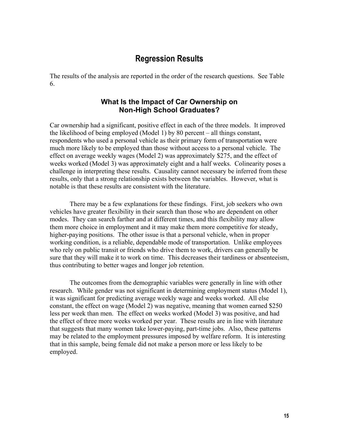### **Regression Results**

<span id="page-20-0"></span>The results of the analysis are reported in the order of the research questions. See Table 6.

#### **What Is the Impact of Car Ownership on Non-High School Graduates?**

Car ownership had a significant, positive effect in each of the three models. It improved the likelihood of being employed (Model 1) by 80 percent – all things constant, respondents who used a personal vehicle as their primary form of transportation were much more likely to be employed than those without access to a personal vehicle. The effect on average weekly wages (Model 2) was approximately \$275, and the effect of weeks worked (Model 3) was approximately eight and a half weeks. Colinearity poses a challenge in interpreting these results. Causality cannot necessary be inferred from these results, only that a strong relationship exists between the variables. However, what is notable is that these results are consistent with the literature.

There may be a few explanations for these findings. First, job seekers who own vehicles have greater flexibility in their search than those who are dependent on other modes. They can search farther and at different times, and this flexibility may allow them more choice in employment and it may make them more competitive for steady, higher-paying positions. The other issue is that a personal vehicle, when in proper working condition, is a reliable, dependable mode of transportation. Unlike employees who rely on public transit or friends who drive them to work, drivers can generally be sure that they will make it to work on time. This decreases their tardiness or absenteeism, thus contributing to better wages and longer job retention.

The outcomes from the demographic variables were generally in line with other research. While gender was not significant in determining employment status (Model 1), it was significant for predicting average weekly wage and weeks worked. All else constant, the effect on wage (Model 2) was negative, meaning that women earned \$250 less per week than men. The effect on weeks worked (Model 3) was positive, and had the effect of three more weeks worked per year. These results are in line with literature that suggests that many women take lower-paying, part-time jobs. Also, these patterns may be related to the employment pressures imposed by welfare reform. It is interesting that in this sample, being female did not make a person more or less likely to be employed.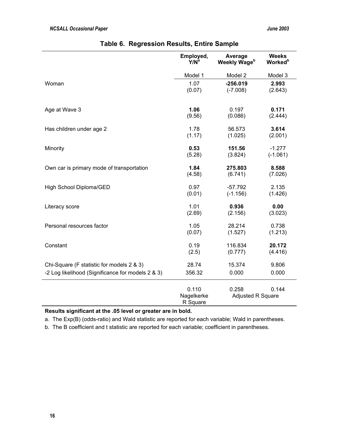|                                                   | Employed,                       | Average                    | <b>Weeks</b>               |
|---------------------------------------------------|---------------------------------|----------------------------|----------------------------|
|                                                   | $Y/N^a$                         | Weekly Wage <sup>b</sup>   | <b>Worked</b> <sup>b</sup> |
|                                                   | Model 1                         | Model 2                    | Model 3                    |
| Woman                                             | 1.07                            | $-256.019$                 | 2.993                      |
|                                                   | (0.07)                          | $(-7.008)$                 | (2.643)                    |
| Age at Wave 3                                     | 1.06                            | 0.197                      | 0.171                      |
|                                                   | (9.56)                          | (0.086)                    | (2.444)                    |
| Has children under age 2                          | 1.78                            | 56.573                     | 3.614                      |
|                                                   | (1.17)                          | (1.025)                    | (2.001)                    |
| Minority                                          | 0.53                            | 151.56                     | $-1.277$                   |
|                                                   | (5.28)                          | (3.824)                    | $(-1.061)$                 |
| Own car is primary mode of transportation         | 1.84                            | 275.803                    | 8.588                      |
|                                                   | (4.58)                          | (6.741)                    | (7.026)                    |
| High School Diploma/GED                           | 0.97                            | $-57.792$                  | 2.135                      |
|                                                   | (0.01)                          | $(-1.156)$                 | (1.426)                    |
| Literacy score                                    | 1.01                            | 0.936                      | 0.00                       |
|                                                   | (2.69)                          | (2.156)                    | (3.023)                    |
| Personal resources factor                         | 1.05                            | 28.214                     | 0.738                      |
|                                                   | (0.07)                          | (1.527)                    | (1.213)                    |
| Constant                                          | 0.19                            | 116.834                    | 20.172                     |
|                                                   | (2.5)                           | (0.777)                    | (4.416)                    |
| Chi-Square (F statistic for models 2 & 3)         | 28.74                           | 15.374                     | 9.806                      |
| -2 Log likelihood (Significance for models 2 & 3) | 356.32                          | 0.000                      | 0.000                      |
|                                                   | 0.110<br>Nagelkerke<br>R Square | 0.258<br>Adjusted R Square | 0.144                      |

| Table 6. Regression Results, Entire Sample |
|--------------------------------------------|
|--------------------------------------------|

**Results significant at the .05 level or greater are in bold.**

a. The Exp(B) (odds-ratio) and Wald statistic are reported for each variable; Wald in parentheses.

b. The B coefficient and t statistic are reported for each variable; coefficient in parentheses.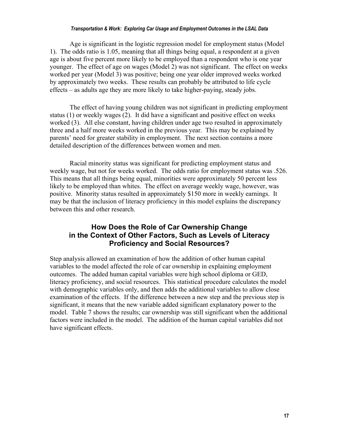#### *Transportation & Work: Exploring Car Usage and Employment Outcomes in the LSAL Data*

<span id="page-22-0"></span>Age is significant in the logistic regression model for employment status (Model 1). The odds ratio is 1.05, meaning that all things being equal, a respondent at a given age is about five percent more likely to be employed than a respondent who is one year younger. The effect of age on wages (Model 2) was not significant. The effect on weeks worked per year (Model 3) was positive; being one year older improved weeks worked by approximately two weeks. These results can probably be attributed to life cycle effects – as adults age they are more likely to take higher-paying, steady jobs.

The effect of having young children was not significant in predicting employment status (1) or weekly wages (2). It did have a significant and positive effect on weeks worked (3). All else constant, having children under age two resulted in approximately three and a half more weeks worked in the previous year. This may be explained by parents' need for greater stability in employment. The next section contains a more detailed description of the differences between women and men.

Racial minority status was significant for predicting employment status and weekly wage, but not for weeks worked. The odds ratio for employment status was .526. This means that all things being equal, minorities were approximately 50 percent less likely to be employed than whites. The effect on average weekly wage, however, was positive. Minority status resulted in approximately \$150 more in weekly earnings. It may be that the inclusion of literacy proficiency in this model explains the discrepancy between this and other research.

### **How Does the Role of Car Ownership Change in the Context of Other Factors, Such as Levels of Literacy Proficiency and Social Resources?**

Step analysis allowed an examination of how the addition of other human capital variables to the model affected the role of car ownership in explaining employment outcomes. The added human capital variables were high school diploma or GED, literacy proficiency, and social resources. This statistical procedure calculates the model with demographic variables only, and then adds the additional variables to allow close examination of the effects. If the difference between a new step and the previous step is significant, it means that the new variable added significant explanatory power to the model. Table 7 shows the results; car ownership was still significant when the additional factors were included in the model. The addition of the human capital variables did not have significant effects.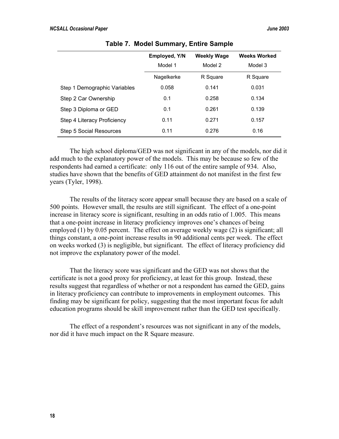|                                | <b>Employed, Y/N</b><br>Model 1 | <b>Weekly Wage</b><br>Model 2 | <b>Weeks Worked</b><br>Model 3 |
|--------------------------------|---------------------------------|-------------------------------|--------------------------------|
|                                | Nagelkerke                      | R Square                      | R Square                       |
| Step 1 Demographic Variables   | 0.058                           | 0.141                         | 0.031                          |
| Step 2 Car Ownership           | 0.1                             | 0.258                         | 0.134                          |
| Step 3 Diploma or GED          | 0.1                             | 0.261                         | 0.139                          |
| Step 4 Literacy Proficiency    | 0.11                            | 0.271                         | 0.157                          |
| <b>Step 5 Social Resources</b> | 0.11                            | 0.276                         | 0.16                           |

**Table 7. Model Summary, Entire Sample** 

The high school diploma/GED was not significant in any of the models, nor did it add much to the explanatory power of the models. This may be because so few of the respondents had earned a certificate: only 116 out of the entire sample of 934. Also, studies have shown that the benefits of GED attainment do not manifest in the first few years (Tyler, 1998).

The results of the literacy score appear small because they are based on a scale of 500 points. However small, the results are still significant. The effect of a one-point increase in literacy score is significant, resulting in an odds ratio of 1.005. This means that a one-point increase in literacy proficiency improves one's chances of being employed (1) by 0.05 percent. The effect on average weekly wage (2) is significant; all things constant, a one-point increase results in 90 additional cents per week. The effect on weeks worked (3) is negligible, but significant. The effect of literacy proficiency did not improve the explanatory power of the model.

That the literacy score was significant and the GED was not shows that the certificate is not a good proxy for proficiency, at least for this group. Instead, these results suggest that regardless of whether or not a respondent has earned the GED, gains in literacy proficiency can contribute to improvements in employment outcomes. This finding may be significant for policy, suggesting that the most important focus for adult education programs should be skill improvement rather than the GED test specifically.

The effect of a respondent's resources was not significant in any of the models, nor did it have much impact on the R Square measure.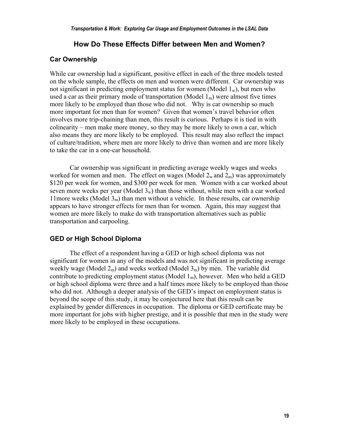#### **How Do These Effects Differ between Men and Women?**

#### <span id="page-24-0"></span>**Car Ownership**

While car ownership had a significant, positive effect in each of the three models tested on the whole sample, the effects on men and women were different. Car ownership was not significant in predicting employment status for women (Model  $1_w$ ), but men who used a car as their primary mode of transportation (Model  $1<sub>m</sub>$ ) were almost five times more likely to be employed than those who did not. Why is car ownership so much more important for men than for women? Given that women's travel behavior often involves more trip-chaining than men, this result is curious. Perhaps it is tied in with colinearity – men make more money, so they may be more likely to own a car, which also means they are more likely to be employed. This result may also reflect the impact of culture/tradition, where men are more likely to drive than women and are more likely to take the car in a one-car household.

Car ownership was significant in predicting average weekly wages and weeks worked for women and men. The effect on wages (Model  $2_w$  and  $2_m$ ) was approximately \$120 per week for women, and \$300 per week for men. Women with a car worked about seven more weeks per year (Model  $3<sub>w</sub>$ ) than those without, while men with a car worked 11more weeks (Model  $3<sub>m</sub>$ ) than men without a vehicle. In these results, car ownership appears to have stronger effects for men than for women. Again, this may suggest that women are more likely to make do with transportation alternatives such as public transportation and carpooling.

#### **GED or High School Diploma**

The effect of a respondent having a GED or high school diploma was not significant for women in any of the models and was not significant in predicting average weekly wage (Model  $2<sub>m</sub>$ ) and weeks worked (Model  $3<sub>m</sub>$ ) by men. The variable did contribute to predicting employment status (Model  $1<sub>m</sub>$ ), however. Men who held a GED or high school diploma were three and a half times more likely to be employed than those who did not. Although a deeper analysis of the GED's impact on employment status is beyond the scope of this study, it may be conjectured here that this result can be explained by gender differences in occupation. The diploma or GED certificate may be more important for jobs with higher prestige, and it is possible that men in the study were more likely to be employed in these occupations.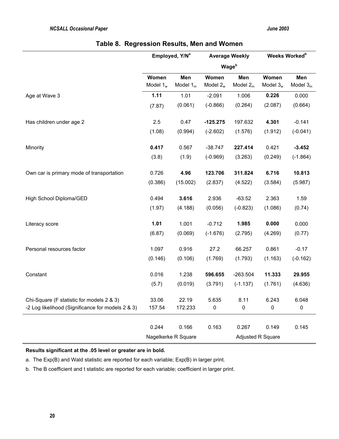|  | Table 8. Regression Results, Men and Women |  |  |  |  |
|--|--------------------------------------------|--|--|--|--|
|--|--------------------------------------------|--|--|--|--|

|                                                   | Employed, Y/N <sup>a</sup> |                     | <b>Average Weekly</b> |                          | Weeks Worked <sup>b</sup> |                   |
|---------------------------------------------------|----------------------------|---------------------|-----------------------|--------------------------|---------------------------|-------------------|
|                                                   |                            |                     |                       | <b>Wage</b> <sup>b</sup> |                           |                   |
|                                                   | Women<br>Model $1_w$       | Men<br>Model $1m$   | Women<br>Model $2_w$  | Men<br>Model $2m$        | Women<br>Model $3_w$      | Men<br>Model $3m$ |
| Age at Wave 3                                     | 1.11                       | 1.01                | $-2.091$              | 1.006                    | 0.226                     | 0.000             |
|                                                   | (7.87)                     | (0.061)             | $(-0.866)$            | (0.264)                  | (2.087)                   | (0.664)           |
| Has children under age 2                          | 2.5                        | 0.47                | $-125.275$            | 197.632                  | 4.301                     | $-0.141$          |
|                                                   | (1.08)                     | (0.994)             | $(-2.602)$            | (1.576)                  | (1.912)                   | $(-0.041)$        |
| Minority                                          | 0.417                      | 0.567               | $-38.747$             | 227.414                  | 0.421                     | $-3.452$          |
|                                                   | (3.8)                      | (1.9)               | $(-0.969)$            | (3.263)                  | (0.249)                   | $(-1.864)$        |
| Own car is primary mode of transportation         | 0.726                      | 4.96                | 123.706               | 311.824                  | 6.716                     | 10.813            |
|                                                   | (0.386)                    | (15.002)            | (2.837)               | (4.522)                  | (3.584)                   | (5.987)           |
| High School Diploma/GED                           | 0.494                      | 3.616               | 2.936                 | $-63.52$                 | 2.363                     | 1.59              |
|                                                   | (1.97)                     | (4.188)             | (0.056)               | $(-0.823)$               | (1.086)                   | (0.74)            |
| Literacy score                                    | 1.01                       | 1.001               | $-0.712$              | 1.985                    | 0.000                     | 0.000             |
|                                                   | (6.87)                     | (0.069)             | $(-1.676)$            | (2.795)                  | (4.269)                   | (0.77)            |
| Personal resources factor                         | 1.097                      | 0.916               | 27.2                  | 66.257                   | 0.861                     | $-0.17$           |
|                                                   | (0.146)                    | (0.106)             | (1.769)               | (1.793)                  | (1.163)                   | $(-0.162)$        |
| Constant                                          | 0.016                      | 1.238               | 596.655               | $-263.504$               | 11.333                    | 29.955            |
|                                                   | (5.7)                      | (0.019)             | (3.791)               | $(-1.137)$               | (1.761)                   | (4.636)           |
| Chi-Square (F statistic for models 2 & 3)         | 33.06                      | 22.19               | 5.635                 | 8.11                     | 6.243                     | 6.048             |
| -2 Log likelihood (Significance for models 2 & 3) | 157.54                     | 172.233             | 0                     | 0                        | 0                         | $\pmb{0}$         |
|                                                   | 0.244                      | 0.166               | 0.163                 | 0.267                    | 0.149                     | 0.145             |
|                                                   |                            | Nagelkerke R Square |                       |                          | Adjusted R Square         |                   |

**Results significant at the .05 level or greater are in bold.**

a. The Exp(B) and Wald statistic are reported for each variable; Exp(B) in larger print.

b. The B coefficient and t statistic are reported for each variable; coefficient in larger print.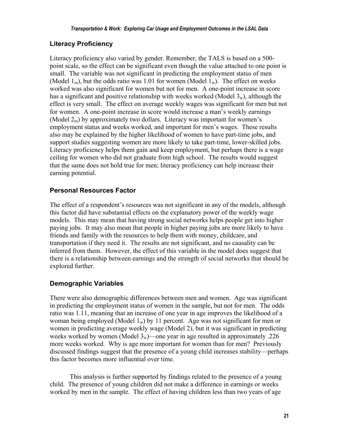### **Literacy Proficiency**

Literacy proficiency also varied by gender. Remember, the TALS is based on a 500 point scale, so the effect can be significant even though the value attached to one point is small. The variable was not significant in predicting the employment status of men (Model  $1_m$ ), but the odds ratio was 1.01 for women (Model  $1_w$ ). The effect on weeks worked was also significant for women but not for men. A one-point increase in score has a significant and positive relationship with weeks worked (Model  $3_w$ ), although the effect is very small. The effect on average weekly wages was significant for men but not for women. A one-point increase in score would increase a man's weekly earnings (Model  $2<sub>m</sub>$ ) by approximately two dollars. Literacy was important for women's employment status and weeks worked, and important for men's wages. These results also may be explained by the higher likelihood of women to have part-time jobs, and support studies suggesting women are more likely to take part-time, lower-skilled jobs. Literacy proficiency helps them gain and keep employment, but perhaps there is a wage ceiling for women who did not graduate from high school. The results would suggest that the same does not hold true for men; literacy proficiency can help increase their earning potential.

### **Personal Resources Factor**

The effect of a respondent's resources was not significant in any of the models, although this factor did have substantial effects on the explanatory power of the weekly wage models. This may mean that having strong social networks helps people get into higher paying jobs. It may also mean that people in higher paying jobs are more likely to have friends and family with the resources to help them with money, childcare, and transportation if they need it. The results are not significant, and no causality can be inferred from them. However, the effect of this variable in the model does suggest that there is a relationship between earnings and the strength of social networks that should be explored further.

### **Demographic Variables**

There were also demographic differences between men and women. Age was significant in predicting the employment status of women in the sample, but not for men. The odds ratio was 1.11, meaning that an increase of one year in age improves the likelihood of a woman being employed (Model  $1_w$ ) by 11 percent. Age was not significant for men or women in predicting average weekly wage (Model 2), but it was significant in predicting weeks worked by women (Model  $3_w$ )—one year in age resulted in approximately .226 more weeks worked. Why is age more important for women than for men? Previously discussed findings suggest that the presence of a young child increases stability—perhaps this factor becomes more influential over time.

This analysis is further supported by findings related to the presence of a young child. The presence of young children did not make a difference in earnings or weeks worked by men in the sample. The effect of having children less than two years of age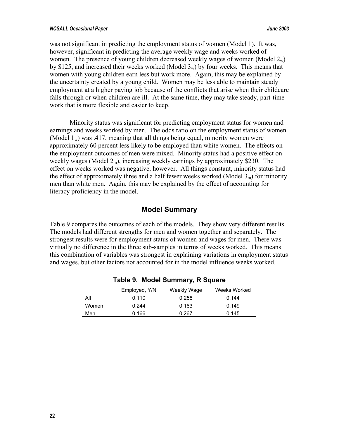#### <span id="page-27-0"></span>*NCSALL Occasional Paper June 2003*

was not significant in predicting the employment status of women (Model 1). It was, however, significant in predicting the average weekly wage and weeks worked of women. The presence of young children decreased weekly wages of women (Model  $2_w$ ) by \$125, and increased their weeks worked (Model  $3<sub>w</sub>$ ) by four weeks. This means that women with young children earn less but work more. Again, this may be explained by the uncertainty created by a young child. Women may be less able to maintain steady employment at a higher paying job because of the conflicts that arise when their childcare falls through or when children are ill. At the same time, they may take steady, part-time work that is more flexible and easier to keep.

Minority status was significant for predicting employment status for women and earnings and weeks worked by men. The odds ratio on the employment status of women (Model  $1_w$ ) was .417, meaning that all things being equal, minority women were approximately 60 percent less likely to be employed than white women. The effects on the employment outcomes of men were mixed. Minority status had a positive effect on weekly wages (Model  $2<sub>m</sub>$ ), increasing weekly earnings by approximately \$230. The effect on weeks worked was negative, however. All things constant, minority status had the effect of approximately three and a half fewer weeks worked (Model  $3<sub>m</sub>$ ) for minority men than white men. Again, this may be explained by the effect of accounting for literacy proficiency in the model.

### **Model Summary**

Table 9 compares the outcomes of each of the models. They show very different results. The models had different strengths for men and women together and separately. The strongest results were for employment status of women and wages for men. There was virtually no difference in the three sub-samples in terms of weeks worked. This means this combination of variables was strongest in explaining variations in employment status and wages, but other factors not accounted for in the model influence weeks worked.

|       | Employed, Y/N | Weekly Wage | Weeks Worked |
|-------|---------------|-------------|--------------|
| All   | 0.110         | 0.258       | 0.144        |
| Women | 0.244         | 0.163       | 0.149        |
| Men   | 0.166         | 0.267       | 0.145        |

### **Table 9. Model Summary, R Square**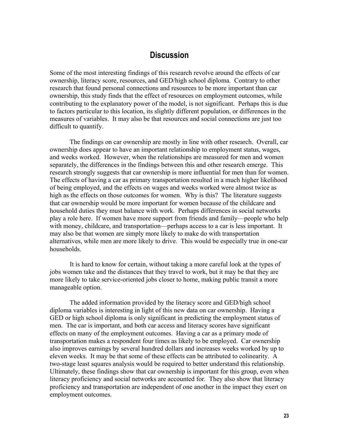### **Discussion**

<span id="page-28-0"></span>Some of the most interesting findings of this research revolve around the effects of car ownership, literacy score, resources, and GED/high school diploma. Contrary to other research that found personal connections and resources to be more important than car ownership, this study finds that the effect of resources on employment outcomes, while contributing to the explanatory power of the model, is not significant. Perhaps this is due to factors particular to this location, its slightly different population, or differences in the measures of variables. It may also be that resources and social connections are just too difficult to quantify.

The findings on car ownership are mostly in line with other research. Overall, car ownership does appear to have an important relationship to employment status, wages, and weeks worked. However, when the relationships are measured for men and women separately, the differences in the findings between this and other research emerge. This research strongly suggests that car ownership is more influential for men than for women. The effects of having a car as primary transportation resulted in a much higher likelihood of being employed, and the effects on wages and weeks worked were almost twice as high as the effects on those outcomes for women. Why is this? The literature suggests that car ownership would be more important for women because of the childcare and household duties they must balance with work. Perhaps differences in social networks play a role here. If women have more support from friends and family—people who help with money, childcare, and transportation—perhaps access to a car is less important. It may also be that women are simply more likely to make do with transportation alternatives, while men are more likely to drive. This would be especially true in one-car households.

It is hard to know for certain, without taking a more careful look at the types of jobs women take and the distances that they travel to work, but it may be that they are more likely to take service-oriented jobs closer to home, making public transit a more manageable option.

The added information provided by the literacy score and GED/high school diploma variables is interesting in light of this new data on car ownership. Having a GED or high school diploma is only significant in predicting the employment status of men. The car is important, and both car access and literacy scores have significant effects on many of the employment outcomes. Having a car as a primary mode of transportation makes a respondent four times as likely to be employed. Car ownership also improves earnings by several hundred dollars and increases weeks worked by up to eleven weeks. It may be that some of these effects can be attributed to colinearity. A two-stage least squares analysis would be required to better understand this relationship. Ultimately, these findings show that car ownership is important for this group, even when literacy proficiency and social networks are accounted for. They also show that literacy proficiency and transportation are independent of one another in the impact they exert on employment outcomes.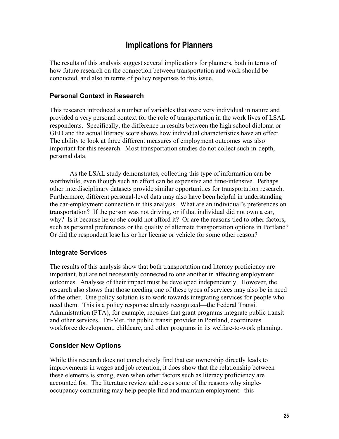# **Implications for Planners**

<span id="page-30-0"></span>The results of this analysis suggest several implications for planners, both in terms of how future research on the connection between transportation and work should be conducted, and also in terms of policy responses to this issue.

### **Personal Context in Research**

This research introduced a number of variables that were very individual in nature and provided a very personal context for the role of transportation in the work lives of LSAL respondents. Specifically, the difference in results between the high school diploma or GED and the actual literacy score shows how individual characteristics have an effect. The ability to look at three different measures of employment outcomes was also important for this research. Most transportation studies do not collect such in-depth, personal data.

As the LSAL study demonstrates, collecting this type of information can be worthwhile, even though such an effort can be expensive and time-intensive. Perhaps other interdisciplinary datasets provide similar opportunities for transportation research. Furthermore, different personal-level data may also have been helpful in understanding the car-employment connection in this analysis. What are an individual's preferences on transportation? If the person was not driving, or if that individual did not own a car, why? Is it because he or she could not afford it? Or are the reasons tied to other factors, such as personal preferences or the quality of alternate transportation options in Portland? Or did the respondent lose his or her license or vehicle for some other reason?

#### **Integrate Services**

The results of this analysis show that both transportation and literacy proficiency are important, but are not necessarily connected to one another in affecting employment outcomes. Analyses of their impact must be developed independently. However, the research also shows that those needing one of these types of services may also be in need of the other. One policy solution is to work towards integrating services for people who need them. This is a policy response already recognized—the Federal Transit Administration (FTA), for example, requires that grant programs integrate public transit and other services. Tri-Met, the public transit provider in Portland, coordinates workforce development, childcare, and other programs in its welfare-to-work planning.

#### **Consider New Options**

While this research does not conclusively find that car ownership directly leads to improvements in wages and job retention, it does show that the relationship between these elements is strong, even when other factors such as literacy proficiency are accounted for. The literature review addresses some of the reasons why singleoccupancy commuting may help people find and maintain employment: this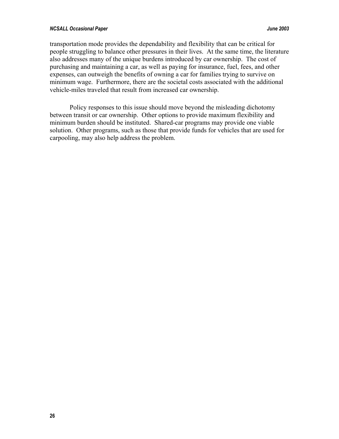#### *NCSALL Occasional Paper June 2003*

transportation mode provides the dependability and flexibility that can be critical for people struggling to balance other pressures in their lives. At the same time, the literature also addresses many of the unique burdens introduced by car ownership. The cost of purchasing and maintaining a car, as well as paying for insurance, fuel, fees, and other expenses, can outweigh the benefits of owning a car for families trying to survive on minimum wage. Furthermore, there are the societal costs associated with the additional vehicle-miles traveled that result from increased car ownership.

Policy responses to this issue should move beyond the misleading dichotomy between transit or car ownership. Other options to provide maximum flexibility and minimum burden should be instituted. Shared-car programs may provide one viable solution. Other programs, such as those that provide funds for vehicles that are used for carpooling, may also help address the problem.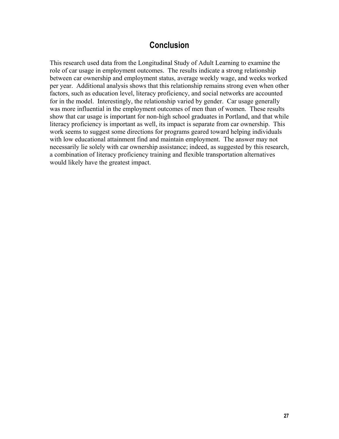# **Conclusion**

<span id="page-32-0"></span>This research used data from the Longitudinal Study of Adult Learning to examine the role of car usage in employment outcomes. The results indicate a strong relationship between car ownership and employment status, average weekly wage, and weeks worked per year. Additional analysis shows that this relationship remains strong even when other factors, such as education level, literacy proficiency, and social networks are accounted for in the model. Interestingly, the relationship varied by gender. Car usage generally was more influential in the employment outcomes of men than of women. These results show that car usage is important for non-high school graduates in Portland, and that while literacy proficiency is important as well, its impact is separate from car ownership. This work seems to suggest some directions for programs geared toward helping individuals with low educational attainment find and maintain employment. The answer may not necessarily lie solely with car ownership assistance; indeed, as suggested by this research, a combination of literacy proficiency training and flexible transportation alternatives would likely have the greatest impact.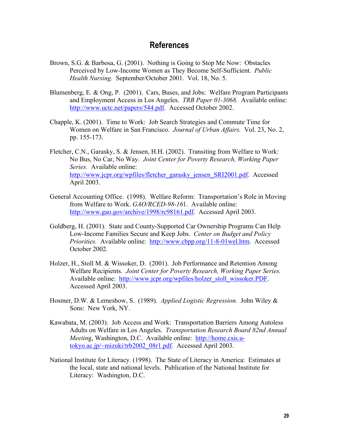## **References**

- <span id="page-34-0"></span>Brown, S.G. & Barbosa, G. (2001). Nothing is Going to Stop Me Now: Obstacles Perceived by Low-Income Women as They Become Self-Sufficient. *Public Health Nursing.* September/October 2001. Vol. 18, No. 5.
- Blumenberg, E. & Ong, P. (2001). Cars, Buses, and Jobs: Welfare Program Participants and Employment Access in Los Angeles. *TRB Paper 01-3068.* Available online: [http://www.uctc.net/papers/544.pdf.](http://www.uctc.net/papers/544.pdf) Accessed October 2002.
- Chapple, K. (2001). Time to Work: Job Search Strategies and Commute Time for Women on Welfare in San Francisco. *Journal of Urban Affairs.* Vol. 23, No. 2, pp. 155-173.
- Fletcher, C.N., Garasky, S. & Jensen, H.H. (2002). Transiting from Welfare to Work: No Bus, No Car, No Way. *Joint Center for Poverty Research, Working Paper Series.* Available online: [http://www.jcpr.org/wpfiles/fletcher\\_garasky\\_jensen\\_SRI2001.pdf.](http://www.jcpr.org/wpfiles/fletcher_garasky_jensen_SRI2001.pdf) Accessed April 2003.
- General Accounting Office. (1998). Welfare Reform: Transportation's Role in Moving from Welfare to Work. *GAO/RCED-98-16*1. Available online: [http://www.gao.gov/archive/1998/rc98161.pdf.](http://www.gao.gov/archive/1998/rc98161.pdf) Accessed April 2003.
- Goldberg, H. (2001). State and County-Supported Car Ownership Programs Can Help Low-Income Families Secure and Keep Jobs. *Center on Budget and Policy Priorities.* Available online: [http://www.cbpp.org/11-8-01wel.htm.](http://www.cbpp.org/11-8-01wel.htm) Accessed October 2002.
- Holzer, H., Stoll M. & Wissoker, D. (2001). Job Performance and Retention Among Welfare Recipients. *Joint Center for Poverty Research, Working Paper Series.*  Available online: [http://www.jcpr.org/wpfiles/holzer\\_stoll\\_wissoker.PDF](http://www.jcpr.org/wpfiles/holzer_stoll_wissoker.PDF). Accessed April 2003.
- Hosmer, D.W. & Lemeshow, S. (1989). *Applied Logistic Regression.* John Wiley & Sons: New York, NY.
- Kawabata, M. (2003). Job Access and Work: Transportation Barriers Among Autoless Adults on Welfare in Los Angeles. *Transportation Research Board 82nd Annual Meetin*g, Washington, D.C. Available online: [http://home.csis.u](http://home.csis.u-tokyo.ac.jp/~mizuki/trb2002_08r1.pdf)[tokyo.ac.jp/~mizuki/trb2002\\_08r1.pdf](http://home.csis.u-tokyo.ac.jp/~mizuki/trb2002_08r1.pdf). Accessed April 2003.
- National Institute for Literacy. (1998). The State of Literacy in America: Estimates at the local, state and national levels. Publication of the National Institute for Literacy: Washington, D.C.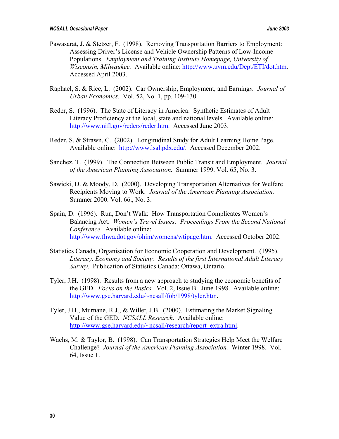- Pawasarat, J. & Stetzer, F. (1998). Removing Transportation Barriers to Employment: Assessing Driver's License and Vehicle Ownership Patterns of Low-Income Populations. *Employment and Training Institute Homepage, University of Wisconsin, Milwaukee.* Available online: [http://www.uvm.edu/Dept/ETI/dot.htm.](http://www.uvm.edu/Dept/ETI/dot.htm) Accessed April 2003.
- Raphael, S. & Rice, L. (2002). Car Ownership, Employment, and Earning*s. Journal of Urban Economics.* Vol. 52, No. 1, pp. 109-130.
- Reder, S. (1996). The State of Literacy in America: Synthetic Estimates of Adult Literacy Proficiency at the local, state and national levels. Available online: [http://www.nifl.gov/reders/reder.htm.](http://www.nifl.gov/reders/reder.htm) Accessed June 2003.
- Reder, S. & Strawn, C. (2002). Longitudinal Study for Adult Learning Home Page. Available online: <http://www.lsal.pdx.edu/>. Accessed December 2002.
- Sanchez, T. (1999). The Connection Between Public Transit and Employment. *Journal of the American Planning Association.* Summer 1999. Vol. 65, No. 3.
- Sawicki, D. & Moody, D. (2000). Developing Transportation Alternatives for Welfare Recipients Moving to Work. *Journal of the American Planning Association.*  Summer 2000. Vol. 66., No. 3.
- Spain, D. (1996). Run, Don't Walk: How Transportation Complicates Women's Balancing Act. *Women's Travel Issues: Proceedings From the Second National Conference.* Available online: <http://www.fhwa.dot.gov/ohim/womens/wtipage.htm>. Accessed October 2002.
- Statistics Canada, Organisation for Economic Cooperation and Development. (1995). *Literacy, Economy and Society: Results of the first International Adult Literacy Survey.* Publication of Statistics Canada: Ottawa, Ontario.
- Tyler, J.H. (1998). Results from a new approach to studying the economic benefits of the GED. *Focus on the Basics.* Vol. 2, Issue B. June 1998. Available online: [http://www.gse.harvard.edu/~ncsall/fob/1998/tyler.htm.](http://www.gse.harvard.edu/~ncsall/fob/1998/tyler.htm)
- Tyler, J.H., Murnane, R.J., & Willet, J.B. (2000). Estimating the Market Signaling Value of the GED. *NCSALL Research.* Available online: [http://www.gse.harvard.edu/~ncsall/research/report\\_extra.html](http://www.gse.harvard.edu/~ncsall/research/report_extra.html).
- Wachs, M. & Taylor, B. (1998). Can Transportation Strategies Help Meet the Welfare Challenge? *Journal of the American Planning Association.* Winter 1998. Vol. 64, Issue 1.